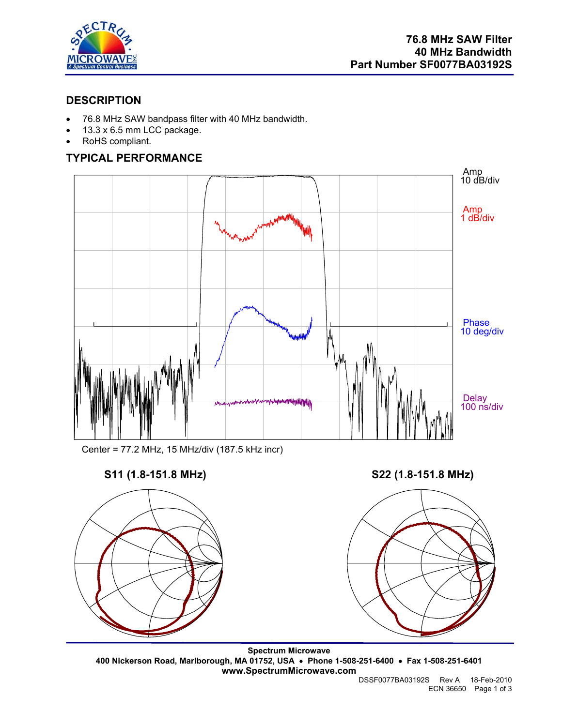

## **DESCRIPTION**

- 76.8 MHz SAW bandpass filter with 40 MHz bandwidth.
- 13.3 x 6.5 mm LCC package.
- RoHS compliant.

# **TYPICAL PERFORMANCE**



Center = 77.2 MHz, 15 MHz/div (187.5 kHz incr)

## **S11 (1.8-151.8 MHz) S22 (1.8-151.8 MHz)**





**Spectrum Microwave 400 Nickerson Road, Marlborough, MA 01752, USA** • **Phone 1-508-251-6400** • **Fax 1-508-251-6401 www.SpectrumMicrowave.com**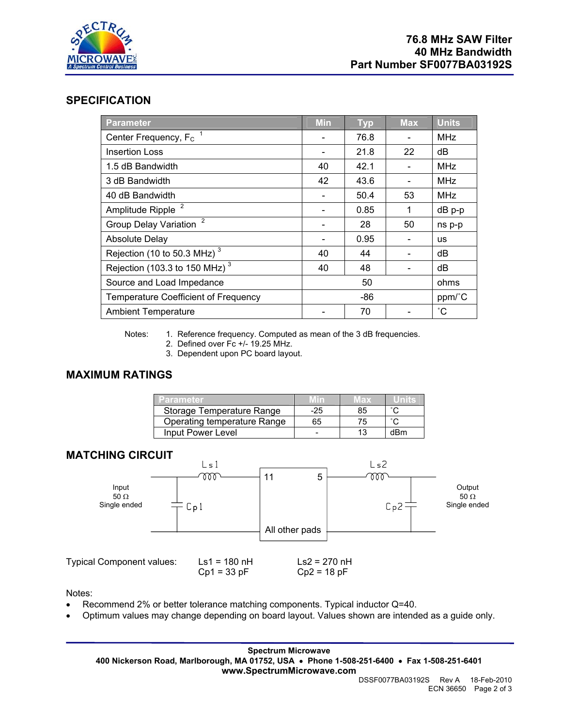

## **SPECIFICATION**

| Parameter                                      | <b>Min</b> | <b>Typ</b> | <b>Max</b> | <b>Units</b> |
|------------------------------------------------|------------|------------|------------|--------------|
| Center Frequency, F <sub>c</sub>               |            | 76.8       |            | <b>MHz</b>   |
| <b>Insertion Loss</b>                          |            | 21.8       | 22         | dB           |
| 1.5 dB Bandwidth                               | 40         | 42.1       |            | <b>MHz</b>   |
| 3 dB Bandwidth                                 | 42         | 43.6       |            | <b>MHz</b>   |
| 40 dB Bandwidth                                |            | 50.4       | 53         | <b>MHz</b>   |
| Amplitude Ripple <sup>2</sup>                  |            | 0.85       |            | dB p-p       |
| $\overline{2}$<br><b>Group Delay Variation</b> |            | 28         | 50         | ns p-p       |
| <b>Absolute Delay</b>                          |            | 0.95       |            | <b>us</b>    |
| Rejection (10 to 50.3 MHz) <sup>3</sup>        | 40         | 44         |            | dB           |
| Rejection (103.3 to 150 MHz) $^3$              | 40         | 48         |            | dB           |
| Source and Load Impedance                      | 50         |            |            | ohms         |
| <b>Temperature Coefficient of Frequency</b>    | -86        |            |            | ppm/°C       |
| <b>Ambient Temperature</b>                     |            | 70         |            | °С           |

Notes: 1. Reference frequency. Computed as mean of the 3 dB frequencies.

- 2. Defined over Fc +/- 19.25 MHz.
- 3. Dependent upon PC board layout.

# **MAXIMUM RATINGS**

| Parameter.                  | Mm    | $M$ ax $\sim$ |        |
|-----------------------------|-------|---------------|--------|
| Storage Temperature Range   | $-25$ | 85            | $\sim$ |
| Operating temperature Range | 65    | 75            |        |
| Input Power Level           |       |               | dBm    |

## **MATCHING CIRCUIT**



Notes:

- Recommend 2% or better tolerance matching components. Typical inductor Q=40.
- Optimum values may change depending on board layout. Values shown are intended as a guide only.

**Spectrum Microwave 400 Nickerson Road, Marlborough, MA 01752, USA** • **Phone 1-508-251-6400** • **Fax 1-508-251-6401 www.SpectrumMicrowave.com**